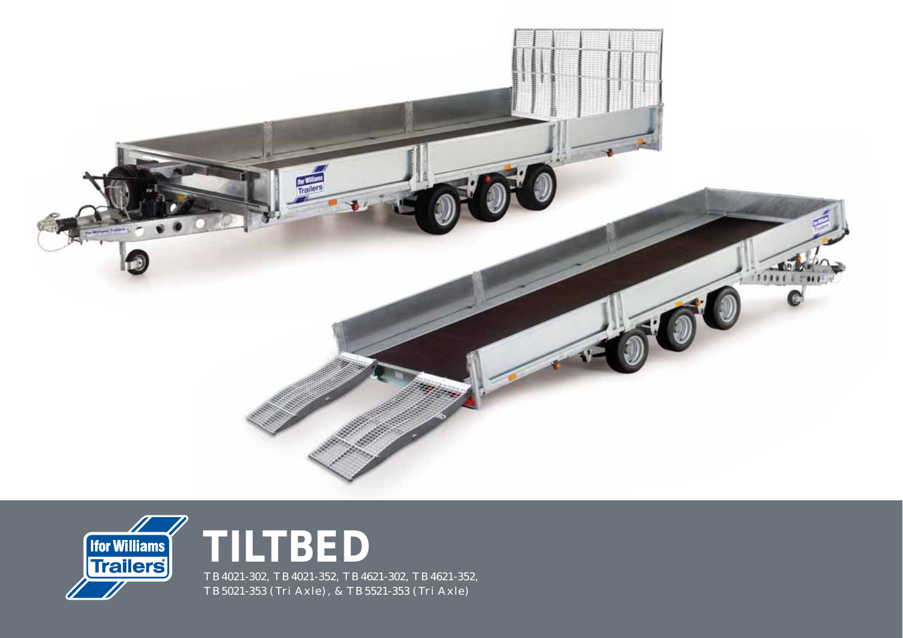





TB4021-302, TB4021-352, TB4621-302, TB4621-352, TB5021-353 (Tri Axle), & TB5521-353 (Tri Axle)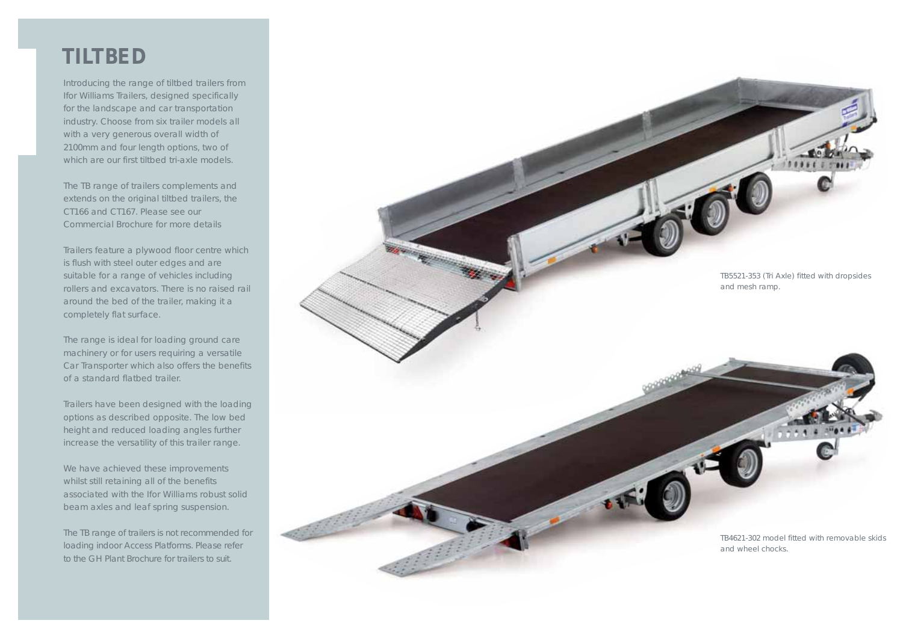## **TILTBED**

Introducing the range of tiltbed trailers from Ifor Williams Trailers, designed specifically for the landscape and car transportation industry. Choose from six trailer models all with a very generous overall width of 2100mm and four length options, two of which are our first tiltbed tri-axle models.

The TB range of trailers complements and extends on the original tiltbed trailers, the CT166 and CT167. Please see our Commercial Brochure for more details

Trailers feature a plywood floor centre which is flush with steel outer edges and are suitable for a range of vehicles including rollers and excavators. There is no raised rail around the bed of the trailer, making it a completely flat surface.

The range is ideal for loading ground care machinery or for users requiring a versatile Car Transporter which also offers the benefits of a standard flatbed trailer.

Trailers have been designed with the loading options as described opposite. The low bed height and reduced loading angles further increase the versatility of this trailer range.

We have achieved these improvements whilst still retaining all of the benefits associated with the Ifor Williams robust solid beam axles and leaf spring suspension.

The TB range of trailers is not recommended for loading indoor Access Platforms. Please refer to the GH Plant Brochure for trailers to suit.

TB5521-353 (Tri Axle) fitted with dropsides and mesh ramp.

> TB4621-302 model fitted with removable skids and wheel chocks.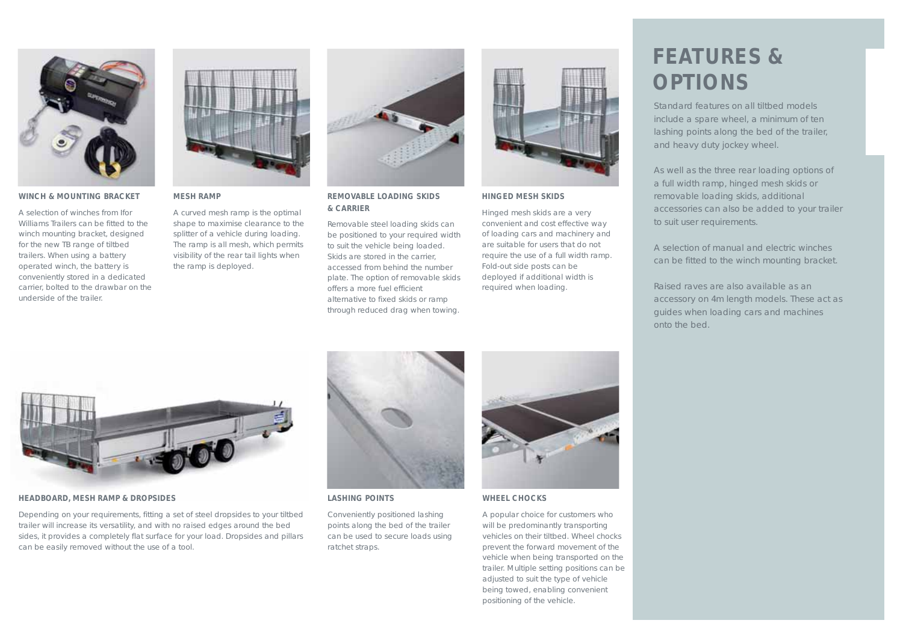

### **WINCH & MOUNTING BRACKET**

A selection of winches from Ifor Williams Trailers can be fitted to the winch mounting bracket, designed for the new TB range of tiltbed trailers. When using a battery operated winch, the battery is conveniently stored in a dedicated carrier, bolted to the drawbar on the underside of the trailer.



### **MESH RAMP**

A curved mesh ramp is the optimal shape to maximise clearance to the splitter of a vehicle during loading. The ramp is all mesh, which permits visibility of the rear tail lights when the ramp is deployed.



### **REMOVABLE LOADING SKIDS & CARRIER**

Removable steel loading skids can be positioned to your required width to suit the vehicle being loaded. Skids are stored in the carrier, accessed from behind the number plate. The option of removable skids offers a more fuel efficient alternative to fixed skids or ramp through reduced drag when towing.



### **HINGED MESH SKIDS**

Hinged mesh skids are a very convenient and cost effective way of loading cars and machinery and are suitable for users that do not require the use of a full width ramp. Fold-out side posts can be deployed if additional width is required when loading.

# **FEATURES & OPTIONS**

Standard features on all tiltbed models include a spare wheel, a minimum of ten lashing points along the bed of the trailer, and heavy duty jockey wheel.

As well as the three rear loading options of a full width ramp, hinged mesh skids or removable loading skids, additional accessories can also be added to your trailer to suit user requirements.

A selection of manual and electric winches can be fitted to the winch mounting bracket.

Raised raves are also available as an accessory on 4m length models. These act as guides when loading cars and machines onto the bed.



#### **HEADBOARD, MESH RAMP & DROPSIDES**

Depending on your requirements, fitting a set of steel dropsides to your tiltbed trailer will increase its versatility, and with no raised edges around the bed sides, it provides a completely flat surface for your load. Dropsides and pillars can be easily removed without the use of a tool.



### **LASHING POINTS**

Conveniently positioned lashing points along the bed of the trailer can be used to secure loads using ratchet straps.



### **WHEEL CHOCKS**

A popular choice for customers who will be predominantly transporting vehicles on their tiltbed. Wheel chocks prevent the forward movement of the vehicle when being transported on the trailer. Multiple setting positions can be adjusted to suit the type of vehicle being towed, enabling convenient positioning of the vehicle.